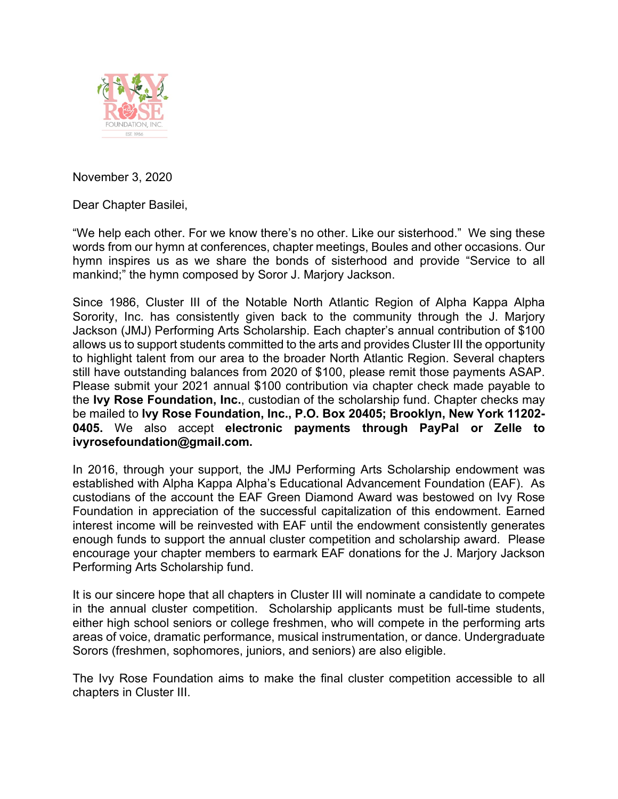

November 3, 2020

Dear Chapter Basilei,

"We help each other. For we know there's no other. Like our sisterhood." We sing these words from our hymn at conferences, chapter meetings, Boules and other occasions. Our hymn inspires us as we share the bonds of sisterhood and provide "Service to all mankind;" the hymn composed by Soror J. Marjory Jackson.

Since 1986, Cluster III of the Notable North Atlantic Region of Alpha Kappa Alpha Sorority, Inc. has consistently given back to the community through the J. Marjory Jackson (JMJ) Performing Arts Scholarship. Each chapter's annual contribution of \$100 allows us to support students committed to the arts and provides Cluster III the opportunity to highlight talent from our area to the broader North Atlantic Region. Several chapters still have outstanding balances from 2020 of \$100, please remit those payments ASAP. Please submit your 2021 annual \$100 contribution via chapter check made payable to the **Ivy Rose Foundation, Inc.**, custodian of the scholarship fund. Chapter checks may be mailed to **Ivy Rose Foundation, Inc., P.O. Box 20405; Brooklyn, New York 11202- 0405.** We also accept **electronic payments through PayPal or Zelle to ivyrosefoundation@gmail.com.**

In 2016, through your support, the JMJ Performing Arts Scholarship endowment was established with Alpha Kappa Alpha's Educational Advancement Foundation (EAF). As custodians of the account the EAF Green Diamond Award was bestowed on Ivy Rose Foundation in appreciation of the successful capitalization of this endowment. Earned interest income will be reinvested with EAF until the endowment consistently generates enough funds to support the annual cluster competition and scholarship award. Please encourage your chapter members to earmark EAF donations for the J. Marjory Jackson Performing Arts Scholarship fund.

It is our sincere hope that all chapters in Cluster III will nominate a candidate to compete in the annual cluster competition. Scholarship applicants must be full-time students, either high school seniors or college freshmen, who will compete in the performing arts areas of voice, dramatic performance, musical instrumentation, or dance. Undergraduate Sorors (freshmen, sophomores, juniors, and seniors) are also eligible.

The Ivy Rose Foundation aims to make the final cluster competition accessible to all chapters in Cluster III.